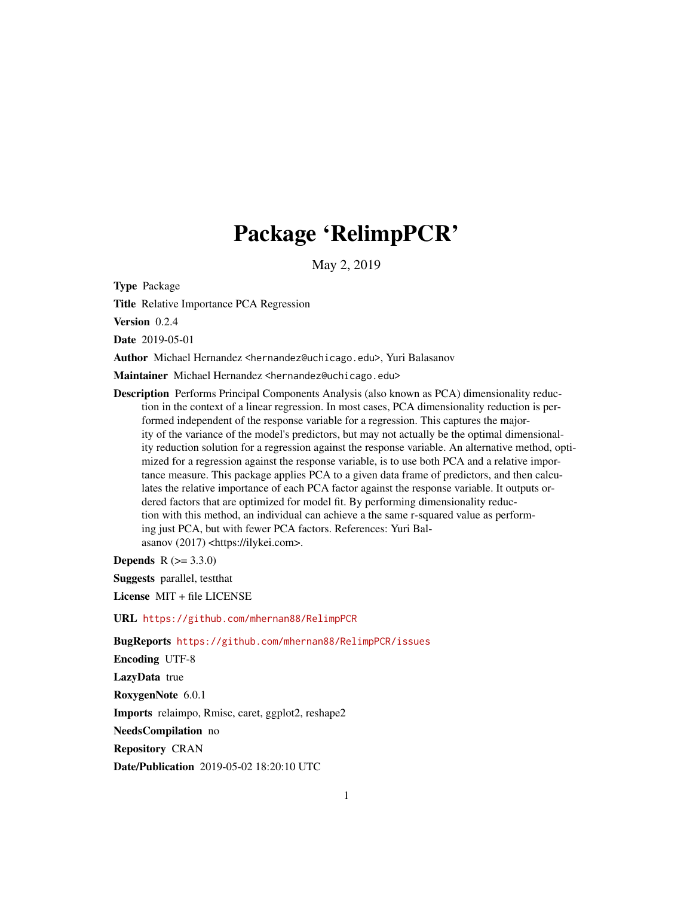# Package 'RelimpPCR'

May 2, 2019

Type Package

Title Relative Importance PCA Regression

Version 0.2.4

Date 2019-05-01

Author Michael Hernandez <hernandez@uchicago.edu>, Yuri Balasanov

Maintainer Michael Hernandez <hernandez@uchicago.edu>

Description Performs Principal Components Analysis (also known as PCA) dimensionality reduction in the context of a linear regression. In most cases, PCA dimensionality reduction is performed independent of the response variable for a regression. This captures the majority of the variance of the model's predictors, but may not actually be the optimal dimensionality reduction solution for a regression against the response variable. An alternative method, optimized for a regression against the response variable, is to use both PCA and a relative importance measure. This package applies PCA to a given data frame of predictors, and then calculates the relative importance of each PCA factor against the response variable. It outputs ordered factors that are optimized for model fit. By performing dimensionality reduction with this method, an individual can achieve a the same r-squared value as performing just PCA, but with fewer PCA factors. References: Yuri Balasanov (2017) <https://ilykei.com>.

**Depends** R  $(>= 3.3.0)$ 

Suggests parallel, testthat

License MIT + file LICENSE

URL <https://github.com/mhernan88/RelimpPCR>

BugReports <https://github.com/mhernan88/RelimpPCR/issues>

Encoding UTF-8

LazyData true

RoxygenNote 6.0.1

Imports relaimpo, Rmisc, caret, ggplot2, reshape2

NeedsCompilation no

Repository CRAN

Date/Publication 2019-05-02 18:20:10 UTC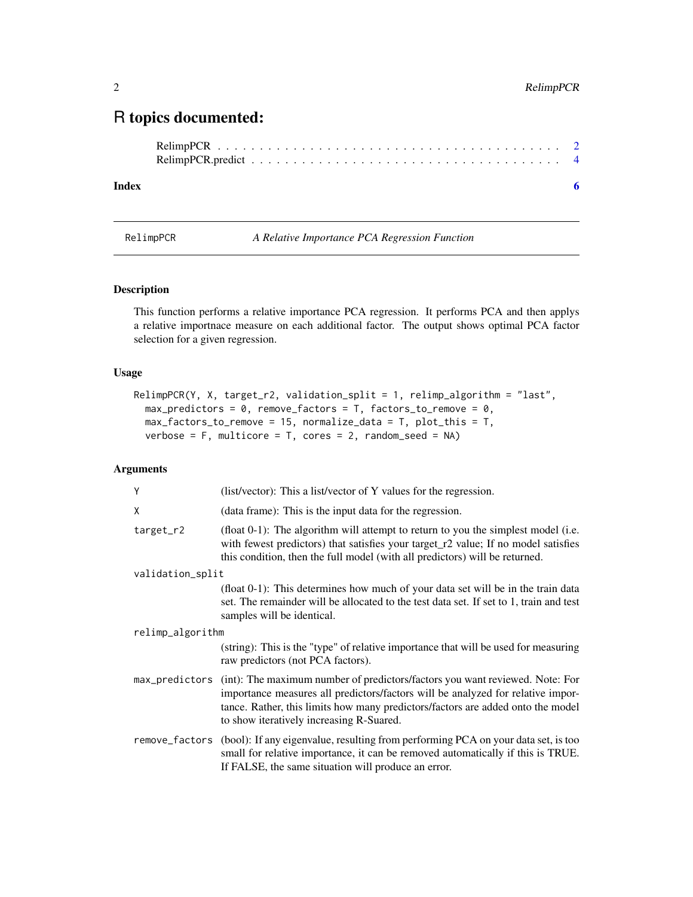# <span id="page-1-0"></span>R topics documented:

#### **Index** [6](#page-5-0) **6**

RelimpPCR *A Relative Importance PCA Regression Function*

#### Description

This function performs a relative importance PCA regression. It performs PCA and then applys a relative importnace measure on each additional factor. The output shows optimal PCA factor selection for a given regression.

#### Usage

```
RelimpPCR(Y, X, target_r2, validation_split = 1, relimp_algorithm = "last",
 max\_predictors = 0, remove_factors = T, factors_to_remove = 0,
 max_factors_to_remove = 15, normalize_data = T, plot_this = T,
 verbose = F, multicore = T, cores = 2, random_seed = NA)
```
## Arguments

| Y                | (list/vector): This a list/vector of Y values for the regression.                                                                                                                                                                                                                                             |
|------------------|---------------------------------------------------------------------------------------------------------------------------------------------------------------------------------------------------------------------------------------------------------------------------------------------------------------|
| X                | (data frame): This is the input data for the regression.                                                                                                                                                                                                                                                      |
| $target_r2$      | (float $0-1$ ): The algorithm will attempt to return to you the simplest model (i.e.<br>with fewest predictors) that satisfies your target r2 value; If no model satisfies<br>this condition, then the full model (with all predictors) will be returned.                                                     |
| validation_split |                                                                                                                                                                                                                                                                                                               |
|                  | (float 0-1): This determines how much of your data set will be in the train data<br>set. The remainder will be allocated to the test data set. If set to 1, train and test<br>samples will be identical.                                                                                                      |
| relimp_algorithm |                                                                                                                                                                                                                                                                                                               |
|                  | (string): This is the "type" of relative importance that will be used for measuring<br>raw predictors (not PCA factors).                                                                                                                                                                                      |
|                  | max_predictors (int): The maximum number of predictors/factors you want reviewed. Note: For<br>importance measures all predictors/factors will be analyzed for relative impor-<br>tance. Rather, this limits how many predictors/factors are added onto the model<br>to show iteratively increasing R-Suared. |
|                  | remove_factors (bool): If any eigenvalue, resulting from performing PCA on your data set, is too<br>small for relative importance, it can be removed automatically if this is TRUE.<br>If FALSE, the same situation will produce an error.                                                                    |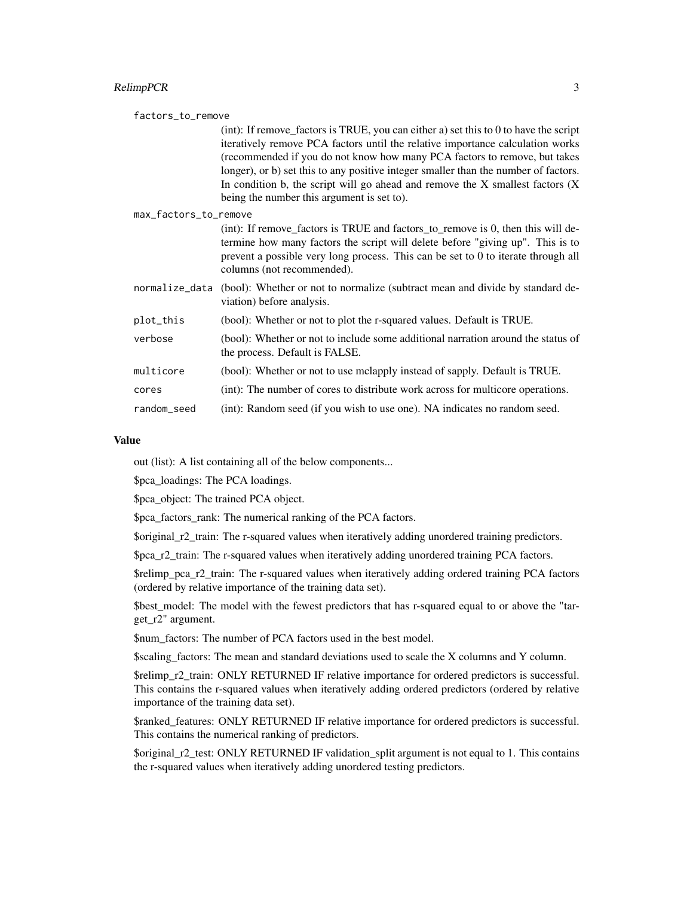#### RelimpPCR 3

| factors_to_remove     |                                                                                                                                                                                                                                                                                                                                                                                                                                                                                  |
|-----------------------|----------------------------------------------------------------------------------------------------------------------------------------------------------------------------------------------------------------------------------------------------------------------------------------------------------------------------------------------------------------------------------------------------------------------------------------------------------------------------------|
|                       | $(int)$ : If remove_factors is TRUE, you can either a) set this to 0 to have the script<br>iteratively remove PCA factors until the relative importance calculation works<br>(recommended if you do not know how many PCA factors to remove, but takes<br>longer), or b) set this to any positive integer smaller than the number of factors.<br>In condition b, the script will go ahead and remove the $X$ smallest factors $(X$<br>being the number this argument is set to). |
| max_factors_to_remove |                                                                                                                                                                                                                                                                                                                                                                                                                                                                                  |
|                       | (int): If remove_factors is TRUE and factors_to_remove is 0, then this will de-<br>termine how many factors the script will delete before "giving up". This is to<br>prevent a possible very long process. This can be set to 0 to iterate through all<br>columns (not recommended).                                                                                                                                                                                             |
|                       | normalize_data (bool): Whether or not to normalize (subtract mean and divide by standard de-<br>viation) before analysis.                                                                                                                                                                                                                                                                                                                                                        |
| plot_this             | (bool): Whether or not to plot the r-squared values. Default is TRUE.                                                                                                                                                                                                                                                                                                                                                                                                            |
| verbose               | (bool): Whether or not to include some additional narration around the status of<br>the process. Default is FALSE.                                                                                                                                                                                                                                                                                                                                                               |
| multicore             | (bool): Whether or not to use mclapply instead of sapply. Default is TRUE.                                                                                                                                                                                                                                                                                                                                                                                                       |
| cores                 | (int): The number of cores to distribute work across for multicore operations.                                                                                                                                                                                                                                                                                                                                                                                                   |
| random_seed           | (int): Random seed (if you wish to use one). NA indicates no random seed.                                                                                                                                                                                                                                                                                                                                                                                                        |

#### Value

out (list): A list containing all of the below components...

\$pca\_loadings: The PCA loadings.

\$pca\_object: The trained PCA object.

\$pca\_factors\_rank: The numerical ranking of the PCA factors.

\$original\_r2\_train: The r-squared values when iteratively adding unordered training predictors.

\$pca\_r2\_train: The r-squared values when iteratively adding unordered training PCA factors.

\$relimp\_pca\_r2\_train: The r-squared values when iteratively adding ordered training PCA factors (ordered by relative importance of the training data set).

\$best\_model: The model with the fewest predictors that has r-squared equal to or above the "target\_r2" argument.

\$num\_factors: The number of PCA factors used in the best model.

\$scaling\_factors: The mean and standard deviations used to scale the X columns and Y column.

\$relimp\_r2\_train: ONLY RETURNED IF relative importance for ordered predictors is successful. This contains the r-squared values when iteratively adding ordered predictors (ordered by relative importance of the training data set).

\$ranked\_features: ONLY RETURNED IF relative importance for ordered predictors is successful. This contains the numerical ranking of predictors.

\$original\_r2\_test: ONLY RETURNED IF validation\_split argument is not equal to 1. This contains the r-squared values when iteratively adding unordered testing predictors.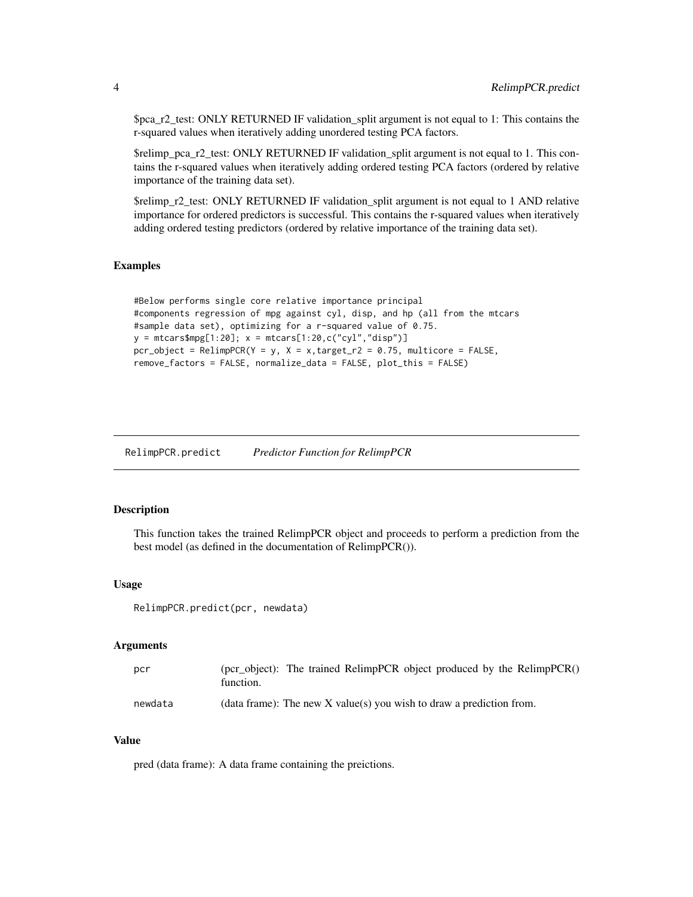<span id="page-3-0"></span>\$pca\_r2\_test: ONLY RETURNED IF validation\_split argument is not equal to 1: This contains the r-squared values when iteratively adding unordered testing PCA factors.

\$relimp\_pca\_r2\_test: ONLY RETURNED IF validation\_split argument is not equal to 1. This contains the r-squared values when iteratively adding ordered testing PCA factors (ordered by relative importance of the training data set).

\$relimp\_r2\_test: ONLY RETURNED IF validation\_split argument is not equal to 1 AND relative importance for ordered predictors is successful. This contains the r-squared values when iteratively adding ordered testing predictors (ordered by relative importance of the training data set).

#### Examples

```
#Below performs single core relative importance principal
#components regression of mpg against cyl, disp, and hp (all from the mtcars
#sample data set), optimizing for a r-squared value of 0.75.
y = \text{mtcars$mpg[1:20]; x = \text{mtcars}[1:20,c("cyl", "disp")}pcr\_object = RelimpPCR(Y = y, X = x,target_r2 = 0.75, multicore = FALSE,
remove_factors = FALSE, normalize_data = FALSE, plot_this = FALSE)
```
RelimpPCR.predict *Predictor Function for RelimpPCR*

#### Description

This function takes the trained RelimpPCR object and proceeds to perform a prediction from the best model (as defined in the documentation of RelimpPCR()).

#### Usage

RelimpPCR.predict(pcr, newdata)

#### Arguments

| pcr     | (pcr_object): The trained RelimpPCR object produced by the RelimpPCR()<br>function. |
|---------|-------------------------------------------------------------------------------------|
| newdata | (data frame): The new X value(s) you wish to draw a prediction from.                |

### Value

pred (data frame): A data frame containing the preictions.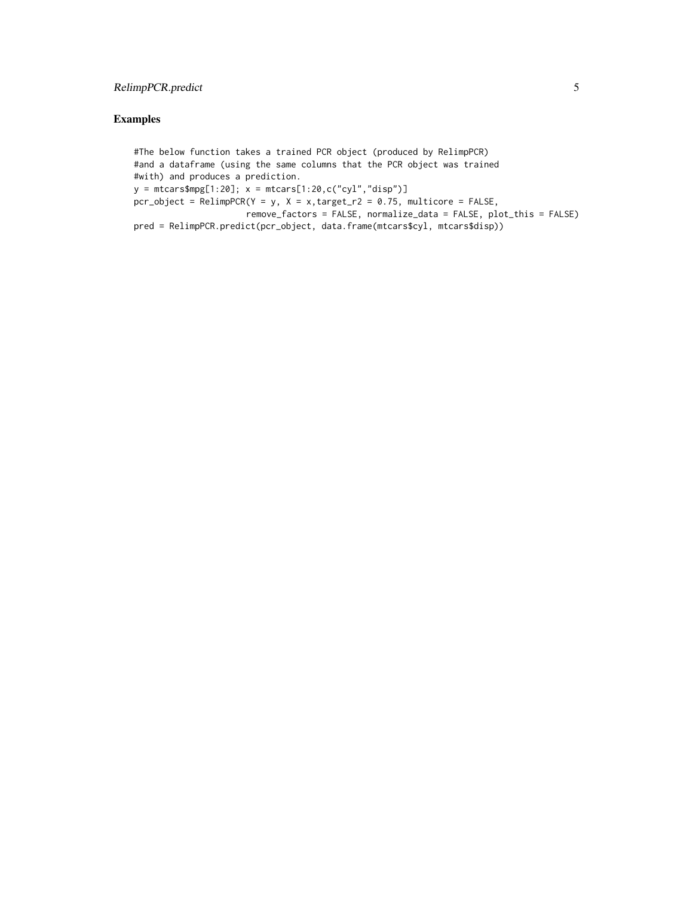# RelimpPCR.predict 5

# Examples

#The below function takes a trained PCR object (produced by RelimpPCR) #and a dataframe (using the same columns that the PCR object was trained #with) and produces a prediction.  $y = \text{mtcars$mpg[1:20]; x = \text{mtcars}[1:20, c("cyl", "disp")}$  $pcr\_object$  =  $RelimpPCR(Y = y, X = x, target_r2 = 0.75, multicore$  =  $FALSE,$ remove\_factors = FALSE, normalize\_data = FALSE, plot\_this = FALSE) pred = RelimpPCR.predict(pcr\_object, data.frame(mtcars\$cyl, mtcars\$disp))